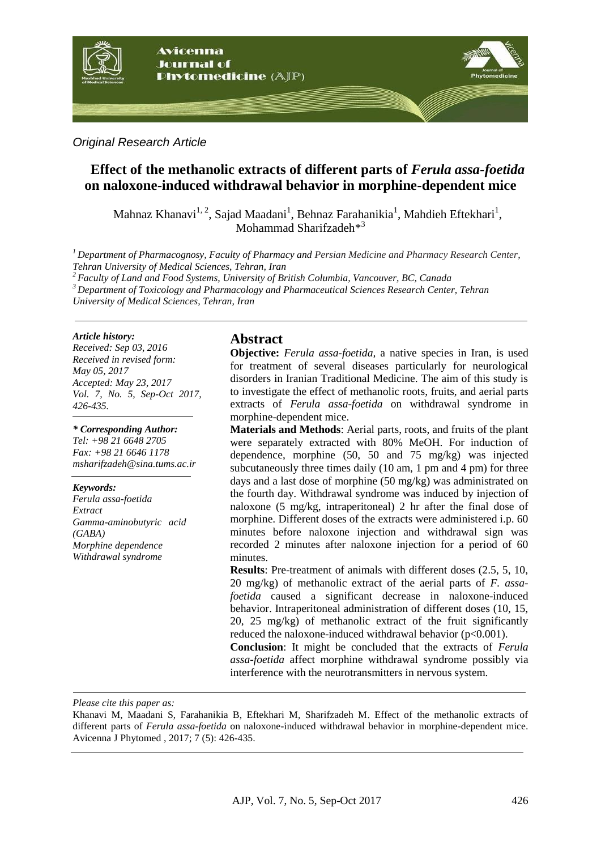

#### *Original Research Article*

# **Effect of the methanolic extracts of different parts of** *Ferula assa-foetida* **on naloxone-induced withdrawal behavior in morphine-dependent mice**

Mahnaz Khanavi<sup>1, 2</sup>, Sajad Maadani<sup>1</sup>, Behnaz Farahanikia<sup>1</sup>, Mahdieh Eftekhari<sup>1</sup>, Mohammad Sharifzadeh<sup>\*3</sup>

*<sup>1</sup>Department of Pharmacognosy, Faculty of Pharmacy and Persian Medicine and Pharmacy Research Center, Tehran University of Medical Sciences, Tehran, Iran*

*<sup>2</sup>Faculty of Land and Food Systems, University of British Columbia, Vancouver, BC, Canada*

*<sup>3</sup>Department of Toxicology and Pharmacology and Pharmaceutical Sciences Research Center, Tehran* 

*University of Medical Sciences, Tehran, Iran*

#### *Article history:*

*Received: Sep 03, 2016 Received in revised form: May 05, 2017 Accepted: May 23, 2017 Vol. 7, No. 5, Sep-Oct 2017, 426-435.*

#### *\* Corresponding Author:*

*Tel: +98 21 6648 2705 Fax: +98 21 6646 1178 msharifzadeh@sina.tums.ac.ir*

#### *Keywords:*

*Ferula assa-foetida Extract Gamma-aminobutyric acid (GABA) Morphine dependence Withdrawal syndrome*

#### **Abstract**

**Objective:** *Ferula assa-foetida,* a native species in Iran, is used for treatment of several diseases particularly for neurological disorders in Iranian Traditional Medicine. The aim of this study is to investigate the effect of methanolic roots, fruits, and aerial parts extracts of *Ferula assa-foetida* on withdrawal syndrome in morphine-dependent mice.

**Materials and Methods**: Aerial parts, roots, and fruits of the plant were separately extracted with 80% MeOH. For induction of dependence, morphine (50, 50 and 75 mg/kg) was injected subcutaneously three times daily (10 am, 1 pm and 4 pm) for three days and a last dose of morphine (50 mg/kg) was administrated on the fourth day. Withdrawal syndrome was induced by injection of naloxone (5 mg/kg, intraperitoneal) 2 hr after the final dose of morphine. Different doses of the extracts were administered i.p. 60 minutes before naloxone injection and withdrawal sign was recorded 2 minutes after naloxone injection for a period of 60 minutes.

**Results**: Pre-treatment of animals with different doses (2.5, 5, 10, 20 mg/kg) of methanolic extract of the aerial parts of *F. assafoetida* caused a significant decrease in naloxone-induced behavior. Intraperitoneal administration of different doses (10, 15, 20, 25 mg/kg) of methanolic extract of the fruit significantly reduced the naloxone-induced withdrawal behavior (p<0.001).

**Conclusion**: It might be concluded that the extracts of *Ferula assa-foetida* affect morphine withdrawal syndrome possibly via interference with the neurotransmitters in nervous system.

*Please cite this paper as:* 

Khanavi M, Maadani S, Farahanikia B, Eftekhari M, Sharifzadeh M. Effect of the methanolic extracts of different parts of *Ferula assa-foetida* on naloxone-induced withdrawal behavior in morphine-dependent mice. Avicenna J Phytomed , 2017; 7 (5): 426-435.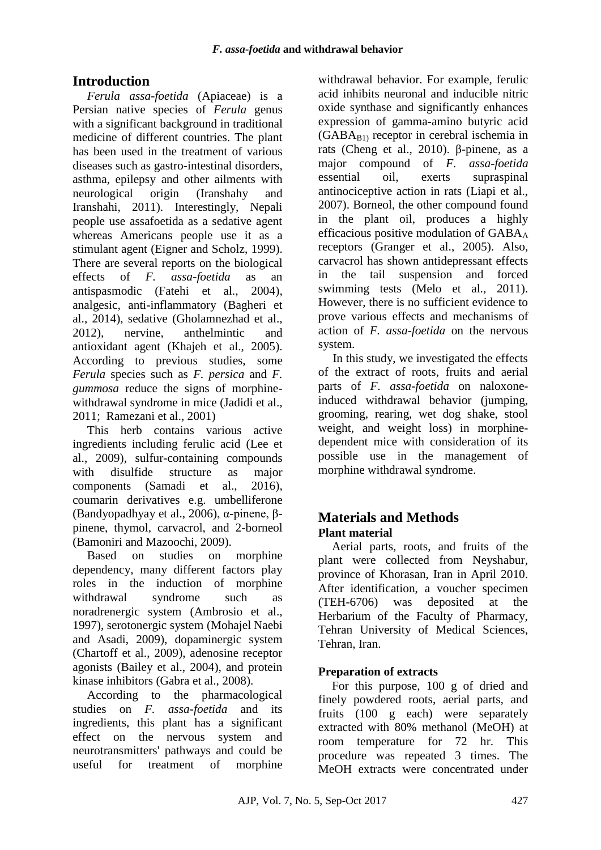# **Introduction**

*Ferula assa-foetida* (Apiaceae) is a Persian native species of *Ferula* genus with a significant background in traditional medicine of different countries. The plant has been used in the treatment of various diseases such as gastro-intestinal disorders, asthma, epilepsy and other ailments with neurological origin [\(Iranshahy and](#page-8-0)  [Iranshahi, 2011\)](#page-8-0). Interestingly, Nepali people use assafoetida as a sedative agent whereas Americans people use it as a stimulant agent [\(Eigner and Scholz, 1999\)](#page-8-1). There are several reports on the biological effects of *F. assa-foetida* as an antispasmodic [\(Fatehi et al., 2004\)](#page-8-2), analgesic, anti-inflammatory [\(Bagheri et](#page-7-0)  al., [2014\)](#page-7-0), sedative [\(Gholamnezhad et al.,](#page-8-3)  [2012\)](#page-8-3), nervine, anthelmintic and antioxidant agent [\(Khajeh et al., 2005\)](#page-8-4). According to previous studies, some *Ferula* species such as *F. persica* and *F. gummosa* reduce the signs of morphinewithdrawal syndrome in mice [\(Jadidi et al.,](#page-8-5)  [2011;](#page-8-5) [Ramezani et al., 2001\)](#page-9-0)

This herb contains various active ingredients including ferulic acid [\(Lee et](#page-8-6)  [al., 2009\)](#page-8-6), sulfur-containing compounds with disulfide structure as major components [\(Samadi et al., 2016\)](#page-9-1), coumarin derivatives e.g. umbelliferone [\(Bandyopadhyay et al., 2006\)](#page-8-7), α-pinene, βpinene, thymol, carvacrol, and 2-borneol [\(Bamoniri and Mazoochi, 2009\)](#page-8-8).

Based on studies on morphine dependency, many different factors play roles in the induction of morphine withdrawal syndrome such as noradrenergic system [\(Ambrosio et al.,](#page-7-1)  [1997\)](#page-7-1), serotonergic system [\(Mohajel](#page-9-2) Naebi [and Asadi, 2009\)](#page-9-2), dopaminergic system [\(Chartoff et al., 2009\)](#page-8-9), adenosine receptor agonists [\(Bailey et al., 2004\)](#page-7-2), and protein kinase inhibitors [\(Gabra et al., 2008\)](#page-8-10).

According to the pharmacological studies on *F. assa-foetida* and its ingredients, this plant has a significant effect on the nervous system and neurotransmitters' pathways and could be useful for treatment of morphine

withdrawal behavior. For example, ferulic acid inhibits neuronal and inducible nitric oxide synthase and significantly enhances expression of gamma*-*amino butyric acid  $(GABA_{B1})$  receptor in cerebral ischemia in rats [\(Cheng et al., 2010\)](#page-8-11). β-pinene, as a major compound of *F. assa-foetida*  essential oil, exerts supraspinal antinociceptive action in rats [\(Liapi et al.,](#page-9-3)  [2007\)](#page-9-3). Borneol, the other compound found in the plant oil, produces a highly efficacious positive modulation of  $GABA_A$ receptors [\(Granger et al., 2005\)](#page-8-12). Also, carvacrol has shown antidepressant effects in the tail suspension and forced swimming tests [\(Melo et al., 2011\)](#page-9-4). However, there is no sufficient evidence to prove various effects and mechanisms of action of *F. assa-foetida* on the nervous system.

In this study, we investigated the effects of the extract of roots, fruits and aerial parts of *F. assa-foetida* on naloxoneinduced withdrawal behavior (jumping, grooming, rearing, wet dog shake, stool weight, and weight loss) in morphinedependent mice with consideration of its possible use in the management of morphine withdrawal syndrome.

## **Materials and Methods Plant material**

Aerial parts, roots, and fruits of the plant were collected from Neyshabur, province of Khorasan, Iran in April 2010. After identification, a voucher specimen (TEH-6706) was deposited at the Herbarium of the Faculty of Pharmacy, Tehran University of Medical Sciences, Tehran, Iran.

### **Preparation of extracts**

For this purpose, 100 g of dried and finely powdered roots, aerial parts, and fruits (100 g each) were separately extracted with 80% methanol (MeOH) at room temperature for 72 hr. This procedure was repeated 3 times. The MeOH extracts were concentrated under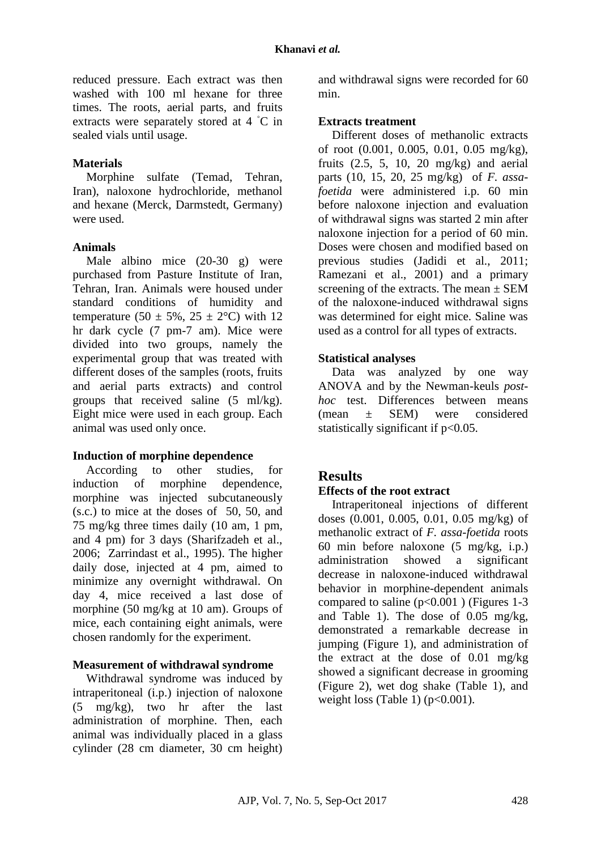reduced pressure. Each extract was then washed with 100 ml hexane for three times. The roots, aerial parts, and fruits extracts were separately stored at 4 ◦C in sealed vials until usage.

#### **Materials**

Morphine sulfate (Temad, Tehran, Iran), naloxone hydrochloride, methanol and hexane (Merck, Darmstedt, Germany) were used.

#### **Animals**

Male albino mice (20-30 g) were purchased from Pasture Institute of Iran, Tehran, Iran. Animals were housed under standard conditions of humidity and temperature (50  $\pm$  5%, 25  $\pm$  2°C) with 12 hr dark cycle (7 pm-7 am). Mice were divided into two groups, namely the experimental group that was treated with different doses of the samples (roots, fruits and aerial parts extracts) and control groups that received saline (5 ml/kg). Eight mice were used in each group. Each animal was used only once.

### **Induction of morphine dependence**

According to other studies, for induction of morphine dependence, morphine was injected subcutaneously (s.c.) to mice at the doses of 50, 50, and 75 mg/kg three times daily (10 am, 1 pm, and 4 pm) for 3 days (Sharifzadeh et al., 2006; Zarrindast et al., 1995). The higher daily dose, injected at 4 pm, aimed to minimize any overnight withdrawal. On day 4, mice received a last dose of morphine (50 mg/kg at 10 am). Groups of mice, each containing eight animals, were chosen randomly for the experiment.

### **Measurement of withdrawal syndrome**

Withdrawal syndrome was induced by intraperitoneal (i.p.) injection of naloxone (5 mg/kg), two hr after the last administration of morphine. Then, each animal was individually placed in a glass cylinder (28 cm diameter, 30 cm height)

and withdrawal signs were recorded for 60 min.

#### **Extracts treatment**

Different doses of methanolic extracts of root (0.001, 0.005, 0.01, 0.05 mg/kg), fruits  $(2.5, 5, 10, 20 \text{ mg/kg})$  and aerial parts (10, 15, 20, 25 mg/kg) of *F. assafoetida* were administered i.p. 60 min before naloxone injection and evaluation of withdrawal signs was started 2 min after naloxone injection for a period of 60 min. Doses were chosen and modified based on previous studies [\(Jadidi et al., 2011;](#page-8-5) [Ramezani et al., 2001\)](#page-9-0) and a primary screening of the extracts. The mean  $\pm$  SEM of the naloxone-induced withdrawal signs was determined for eight mice. Saline was used as a control for all types of extracts.

#### **Statistical analyses**

Data was analyzed by one way ANOVA and by the Newman-keuls *posthoc* test. Differences between means (mean ± SEM) were considered statistically significant if  $p<0.05$ .

## **Results**

#### **Effects of the root extract**

Intraperitoneal injections of different doses (0.001, 0.005, 0.01, 0.05 mg/kg) of methanolic extract of *F. assa-foetida* roots 60 min before naloxone (5 mg/kg, i.p.) administration showed a significant decrease in naloxone-induced withdrawal behavior in morphine-dependent animals compared to saline  $(p<0.001)$  (Figures 1-3) and Table 1). The dose of 0.05 mg/kg, demonstrated a remarkable decrease in jumping (Figure 1), and administration of the extract at the dose of 0.01 mg/kg showed a significant decrease in grooming (Figure 2), wet dog shake (Table 1), and weight loss (Table 1) ( $p<0.001$ ).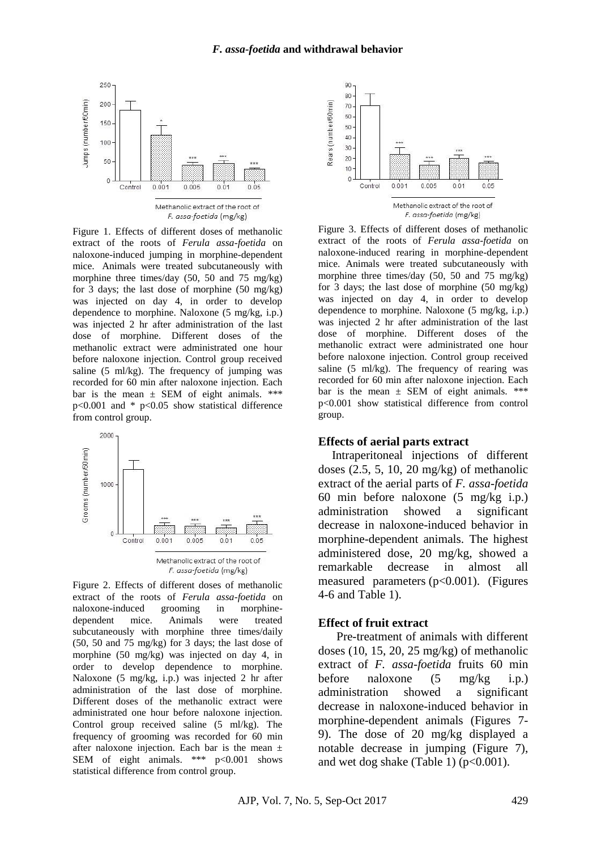

Figure 1. Effects of different doses of methanolic extract of the roots of *Ferula assa-foetida* on naloxone-induced jumping in morphine-dependent mice. Animals were treated subcutaneously with morphine three times/day (50, 50 and 75 mg/kg) for 3 days; the last dose of morphine (50 mg/kg) was injected on day 4, in order to develop dependence to morphine. Naloxone (5 mg/kg, i.p.) was injected 2 hr after administration of the last dose of morphine. Different doses of the methanolic extract were administrated one hour before naloxone injection. Control group received saline  $(5 \text{ ml/kg})$ . The frequency of jumping was recorded for 60 min after naloxone injection. Each bar is the mean  $\pm$  SEM of eight animals. \*\*\* p<0.001 and \* p<0.05 show statistical difference from control group.



Figure 2. Effects of different doses of methanolic extract of the roots of *Ferula assa-foetida* on naloxone-induced grooming in morphinedependent mice. Animals were treated subcutaneously with morphine three times/daily (50, 50 and 75 mg/kg) for 3 days; the last dose of morphine (50 mg/kg) was injected on day 4, in order to develop dependence to morphine. Naloxone (5 mg/kg, i.p.) was injected 2 hr after administration of the last dose of morphine. Different doses of the methanolic extract were administrated one hour before naloxone injection. Control group received saline (5 ml/kg). The frequency of grooming was recorded for 60 min after naloxone injection. Each bar is the mean  $\pm$ SEM of eight animals. \*\*\* p<0.001 shows statistical difference from control group.



Figure 3. Effects of different doses of methanolic extract of the roots of *Ferula assa-foetida* on naloxone-induced rearing in morphine-dependent mice. Animals were treated subcutaneously with morphine three times/day (50, 50 and 75 mg/kg) for 3 days; the last dose of morphine (50 mg/kg) was injected on day 4, in order to develop dependence to morphine. Naloxone (5 mg/kg, i.p.) was injected 2 hr after administration of the last dose of morphine. Different doses of the methanolic extract were administrated one hour before naloxone injection. Control group received saline (5 ml/kg). The frequency of rearing was recorded for 60 min after naloxone injection. Each bar is the mean  $\pm$  SEM of eight animals. \*\*\* p<0.001 show statistical difference from control group.

#### **Effects of aerial parts extract**

Intraperitoneal injections of different doses  $(2.5, 5, 10, 20 \text{ mg/kg})$  of methanolic extract of the aerial parts of *F. assa-foetida* 60 min before naloxone (5 mg/kg i.p.) administration showed a significant decrease in naloxone-induced behavior in morphine-dependent animals. The highest administered dose, 20 mg/kg, showed a remarkable decrease in almost all measured parameters (p<0.001). (Figures 4-6 and Table 1).

#### **Effect of fruit extract**

Pre-treatment of animals with different doses  $(10, 15, 20, 25 \text{ mg/kg})$  of methanolic extract of *F. assa-foetida* fruits 60 min before naloxone (5 mg/kg i.p.) administration showed a significant decrease in naloxone-induced behavior in morphine-dependent animals (Figures 7- 9). The dose of 20 mg/kg displayed a notable decrease in jumping (Figure 7), and wet dog shake (Table 1) ( $p<0.001$ ).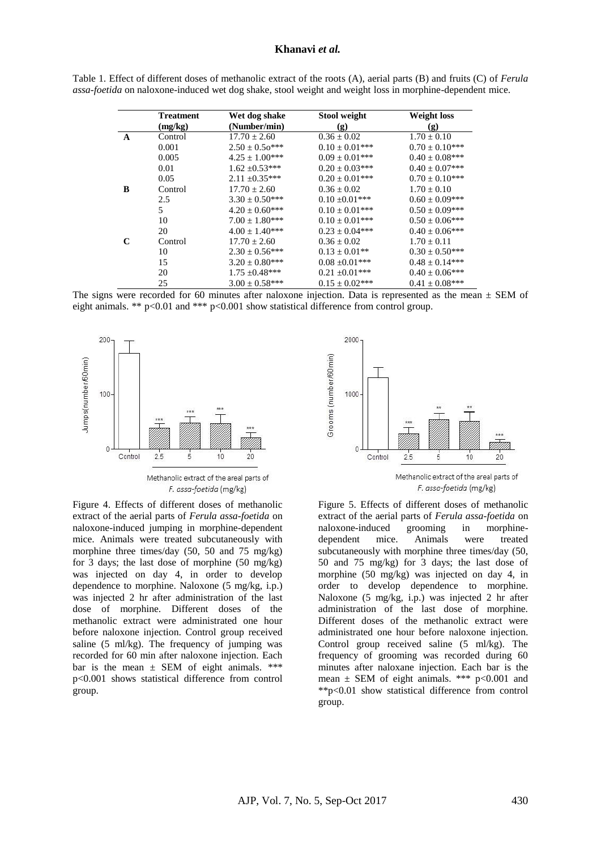#### **Khanavi** *et al.*

|   | <b>Treatment</b> | Wet dog shake         | Stool weight        | <b>Weight loss</b><br>(g) |  |
|---|------------------|-----------------------|---------------------|---------------------------|--|
|   | (mg/kg)          | (Number/min)          | (g)                 |                           |  |
| A | Control          | $17.70 \pm 2.60$      | $0.36 \pm 0.02$     | $1.70 \pm 0.10$           |  |
|   | 0.001            | $2.50 \pm 0.50$ ***   | $0.10 \pm 0.01$ *** | $0.70 \pm 0.10$ ***       |  |
|   | 0.005            | $4.25 \pm 1.00^{***}$ | $0.09 \pm 0.01$ *** | $0.40 \pm 0.08$ ***       |  |
|   | 0.01             | $1.62 \pm 0.53***$    | $0.20 \pm 0.03$ *** | $0.40 \pm 0.07***$        |  |
|   | 0.05             | $2.11 \pm 0.35***$    | $0.20 \pm 0.01$ *** | $0.70 \pm 0.10$ ***       |  |
| B | Control          | $17.70 \pm 2.60$      | $0.36 \pm 0.02$     | $1.70 \pm 0.10$           |  |
|   | 2.5              | $3.30 \pm 0.50$ ***   | $0.10 \pm 0.01$ *** | $0.60 \pm 0.09***$        |  |
|   | 5                | $4.20 \pm 0.60$ ***   | $0.10 \pm 0.01***$  | $0.50 \pm 0.09$ ***       |  |
|   | 10               | $7.00 \pm 1.80$ ***   | $0.10 \pm 0.01$ *** | $0.50 \pm 0.06***$        |  |
|   | 20               | $4.00 \pm 1.40$ ***   | $0.23 \pm 0.04***$  | $0.40 \pm 0.06$ ***       |  |
| C | Control          | $17.70 \pm 2.60$      | $0.36 \pm 0.02$     | $1.70 \pm 0.11$           |  |
|   | 10               | $2.30 \pm 0.56***$    | $0.13 \pm 0.01$ **  | $0.30 \pm 0.50$ ***       |  |
|   | 15               | $3.20 \pm 0.80$ ***   | $0.08 \pm 0.01$ *** | $0.48 \pm 0.14***$        |  |
|   | 20               | $1.75 \pm 0.48***$    | $0.21 \pm 0.01***$  | $0.40 \pm 0.06***$        |  |
|   | 25               | $3.00 \pm 0.58$ ***   | $0.15 \pm 0.02***$  | $0.41 \pm 0.08***$        |  |

| Table 1. Effect of different doses of methanolic extract of the roots (A), aerial parts (B) and fruits (C) of <i>Ferula</i> |  |  |  |
|-----------------------------------------------------------------------------------------------------------------------------|--|--|--|
| assa-foetida on naloxone-induced wet dog shake, stool weight and weight loss in morphine-dependent mice.                    |  |  |  |

The signs were recorded for 60 minutes after naloxone injection. Data is represented as the mean  $\pm$  SEM of eight animals. \*\* p<0.01 and \*\*\* p<0.001 show statistical difference from control group.



Figure 4. Effects of different doses of methanolic extract of the aerial parts of *Ferula assa-foetida* on naloxone-induced jumping in morphine-dependent mice. Animals were treated subcutaneously with morphine three times/day (50, 50 and 75 mg/kg) for 3 days; the last dose of morphine (50 mg/kg) was injected on day 4, in order to develop dependence to morphine. Naloxone (5 mg/kg, i.p.) was injected 2 hr after administration of the last dose of morphine. Different doses of the methanolic extract were administrated one hour before naloxone injection. Control group received saline (5 ml/kg). The frequency of jumping was recorded for 60 min after naloxone injection. Each bar is the mean  $\pm$  SEM of eight animals. \*\*\* p<0.001 shows statistical difference from control group.



Figure 5. Effects of different doses of methanolic extract of the aerial parts of *Ferula assa-foetida* on naloxone-induced grooming in morphinedependent mice. Animals were treated subcutaneously with morphine three times/day (50, 50 and 75 mg/kg) for 3 days; the last dose of morphine (50 mg/kg) was injected on day 4, in order to develop dependence to morphine. Naloxone (5 mg/kg, i.p.) was injected 2 hr after administration of the last dose of morphine. Different doses of the methanolic extract were administrated one hour before naloxone injection. Control group received saline (5 ml/kg). The frequency of grooming was recorded during 60 minutes after naloxane injection. Each bar is the mean  $\pm$  SEM of eight animals. \*\*\* p<0.001 and \*\*p<0.01 show statistical difference from control group.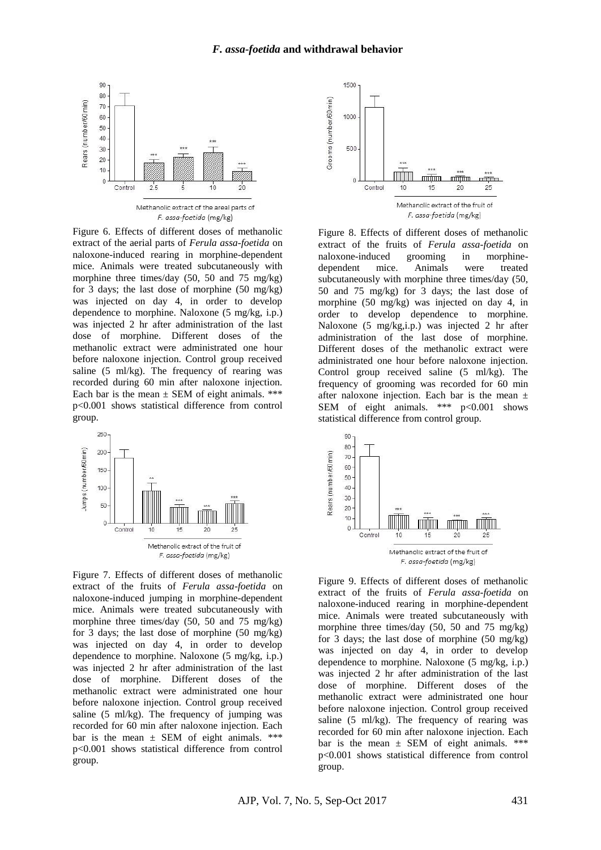

Figure 6. Effects of different doses of methanolic extract of the aerial parts of *Ferula assa-foetida* on naloxone-induced rearing in morphine-dependent mice. Animals were treated subcutaneously with morphine three times/day (50, 50 and 75 mg/kg) for 3 days; the last dose of morphine (50 mg/kg) was injected on day 4, in order to develop dependence to morphine. Naloxone (5 mg/kg, i.p.) was injected 2 hr after administration of the last dose of morphine. Different doses of the methanolic extract were administrated one hour before naloxone injection. Control group received saline (5 ml/kg). The frequency of rearing was recorded during 60 min after naloxone injection. Each bar is the mean  $\pm$  SEM of eight animals. \*\*\* p<0.001 shows statistical difference from control group.



Figure 7. Effects of different doses of methanolic extract of the fruits of *Ferula assa-foetida* on naloxone-induced jumping in morphine-dependent mice. Animals were treated subcutaneously with morphine three times/day (50, 50 and 75 mg/kg) for 3 days; the last dose of morphine (50 mg/kg) was injected on day 4, in order to develop dependence to morphine. Naloxone (5 mg/kg, i.p.) was injected 2 hr after administration of the last dose of morphine. Different doses of the methanolic extract were administrated one hour before naloxone injection. Control group received saline  $(5 \text{ ml/kg})$ . The frequency of jumping was recorded for 60 min after naloxone injection. Each bar is the mean  $\pm$  SEM of eight animals. \*\*\* p<0.001 shows statistical difference from control group.



Figure 8. Effects of different doses of methanolic extract of the fruits of *Ferula assa-foetida* on naloxone-induced grooming in morphinedependent mice. Animals were treated subcutaneously with morphine three times/day (50, 50 and 75 mg/kg) for 3 days; the last dose of morphine (50 mg/kg) was injected on day 4, in order to develop dependence to morphine. Naloxone (5 mg/kg,i.p.) was injected 2 hr after administration of the last dose of morphine. Different doses of the methanolic extract were administrated one hour before naloxone injection. Control group received saline (5 ml/kg). The frequency of grooming was recorded for 60 min after naloxone injection. Each bar is the mean  $\pm$ SEM of eight animals. \*\*\* p<0.001 shows statistical difference from control group.



Figure 9. Effects of different doses of methanolic extract of the fruits of *Ferula assa-foetida* on naloxone-induced rearing in morphine-dependent mice. Animals were treated subcutaneously with morphine three times/day (50, 50 and 75 mg/kg) for 3 days; the last dose of morphine  $(50 \text{ mg/kg})$ was injected on day 4, in order to develop dependence to morphine. Naloxone (5 mg/kg, i.p.) was injected 2 hr after administration of the last dose of morphine. Different doses of the methanolic extract were administrated one hour before naloxone injection. Control group received saline (5 ml/kg). The frequency of rearing was recorded for 60 min after naloxone injection. Each bar is the mean  $\pm$  SEM of eight animals. \*\*\* p<0.001 shows statistical difference from control group.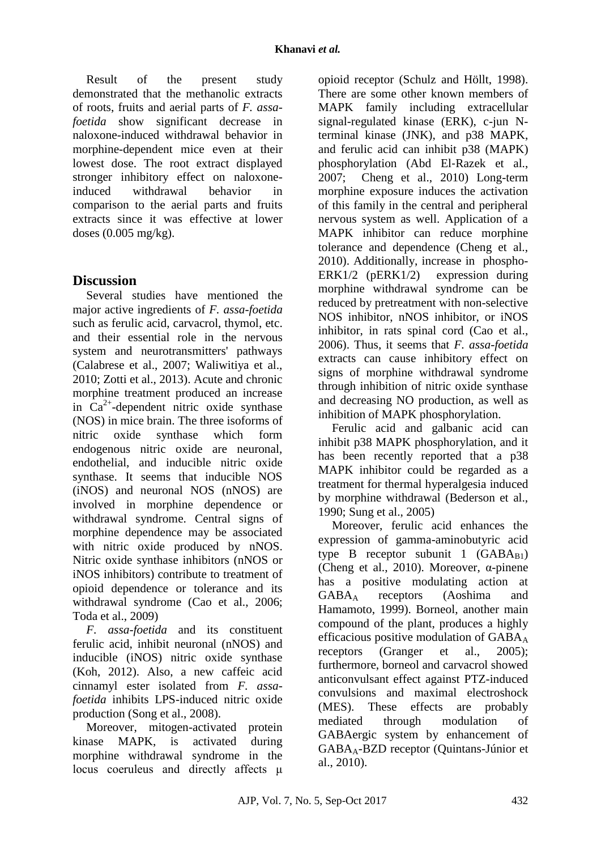Result of the present study demonstrated that the methanolic extracts of roots, fruits and aerial parts of *F. assafoetida* show significant decrease in naloxone-induced withdrawal behavior in morphine-dependent mice even at their lowest dose. The root extract displayed stronger inhibitory effect on naloxoneinduced withdrawal behavior in comparison to the aerial parts and fruits extracts since it was effective at lower doses (0.005 mg/kg).

## **Discussion**

Several studies have mentioned the major active ingredients of *F. assa-foetida* such as ferulic acid, carvacrol, thymol, etc. and their essential role in the nervous system and neurotransmitters' pathways (Calabrese et al., 2007; Waliwitiya et al., 2010; Zotti et al., 2013). Acute and chronic morphine treatment produced an increase in  $Ca^{2+}$ -dependent nitric oxide synthase (NOS) in mice brain. The three isoforms of nitric oxide synthase which form endogenous nitric oxide are neuronal, endothelial, and inducible nitric oxide synthase. It seems that inducible NOS (iNOS) and neuronal NOS (nNOS) are involved in morphine dependence or withdrawal syndrome. Central signs of morphine dependence may be associated with nitric oxide produced by nNOS. Nitric oxide synthase inhibitors (nNOS or iNOS inhibitors) contribute to treatment of opioid dependence or tolerance and its withdrawal syndrome (Cao et al., 2006; Toda et al., 2009)

*F. assa-foetida* and its constituent ferulic acid, inhibit neuronal (nNOS) and inducible (iNOS) nitric oxide synthase (Koh, 2012). Also, a new caffeic acid cinnamyl ester isolated from *F. assafoetida* inhibits LPS-induced nitric oxide production (Song et al., 2008).

Moreover, mitogen-activated protein kinase MAPK, is activated during morphine withdrawal syndrome in the locus coeruleus and directly affects μ opioid receptor (Schulz and Höllt, 1998). There are some other known members of MAPK family including extracellular signal-regulated kinase (ERK), c-jun Nterminal kinase (JNK), and p38 MAPK, and ferulic acid can inhibit p38 (MAPK) phosphorylation (Abd El‐Razek et al., 2007; Cheng et al., 2010) Long-term morphine exposure induces the activation of this family in the central and peripheral nervous system as well. Application of a MAPK inhibitor can reduce morphine tolerance and dependence (Cheng et al., 2010). Additionally, increase in phospho-ERK1/2 (pERK1/2) expression during morphine withdrawal syndrome can be reduced by pretreatment with non-selective NOS inhibitor, nNOS inhibitor, or iNOS inhibitor, in rats spinal cord (Cao et al., 2006). Thus, it seems that *F. assa-foetida* extracts can cause inhibitory effect on signs of morphine withdrawal syndrome through inhibition of nitric oxide synthase and decreasing NO production, as well as inhibition of MAPK phosphorylation.

Ferulic acid and galbanic acid can inhibit p38 MAPK phosphorylation, and it has been recently reported that a p38 MAPK inhibitor could be regarded as a treatment for thermal hyperalgesia induced by morphine withdrawal (Bederson et al., 1990; Sung et al., 2005)

Moreover, ferulic acid enhances the expression of gamma-aminobutyric acid type B receptor subunit 1  $(GABA_{B1})$ (Cheng et al., 2010). Moreover, α-pinene has a positive modulating action at GABA<sup>A</sup> receptors (Aoshima and Hamamoto, 1999). Borneol, another main compound of the plant, produces a highly efficacious positive modulation of  $GABA_A$ receptors (Granger et al., 2005); furthermore, borneol and carvacrol showed anticonvulsant effect against PTZ-induced convulsions and maximal electroshock (MES). These effects are probably mediated through modulation of GABAergic system by enhancement of GABAA-BZD receptor (Quintans-Júnior et al., 2010).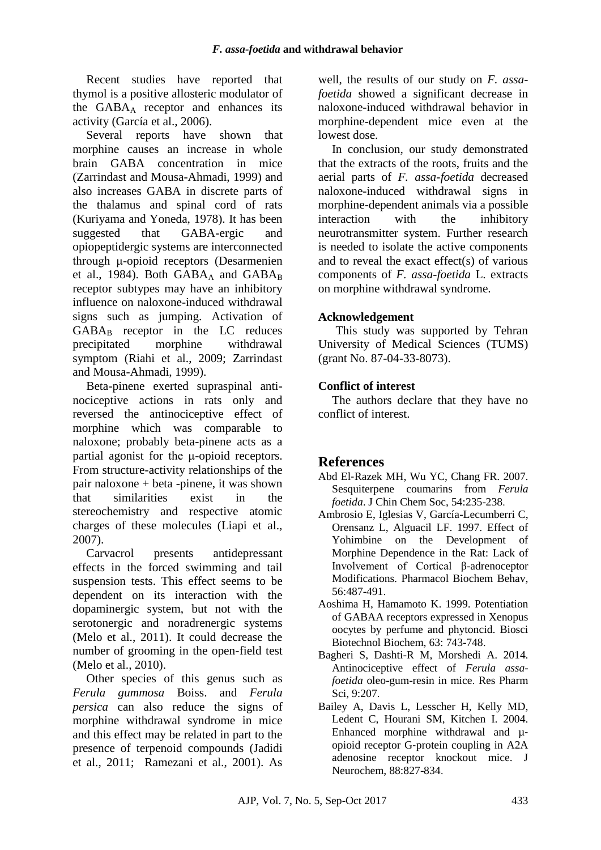Recent studies have reported that thymol is a positive allosteric modulator of the GABA<sup>A</sup> receptor and enhances its activity (García et al., 2006).

Several reports have shown that morphine causes an increase in whole brain GABA concentration in mice (Zarrindast and Mousa-Ahmadi, 1999) and also increases GABA in discrete parts of the thalamus and spinal cord of rats (Kuriyama and Yoneda, 1978). It has been suggested that GABA-ergic and opiopeptidergic systems are interconnected through μ-opioid receptors (Desarmenien et al., 1984). Both  $GABA_A$  and  $GABA_B$ receptor subtypes may have an inhibitory influence on naloxone-induced withdrawal signs such as jumping. Activation of  $GABA_B$  receptor in the LC reduces precipitated morphine withdrawal symptom (Riahi et al., 2009; Zarrindast and Mousa-Ahmadi, 1999).

Beta-pinene exerted supraspinal antinociceptive actions in rats only and reversed the antinociceptive effect of morphine which was comparable to naloxone; probably beta-pinene acts as a partial agonist for the μ-opioid receptors. From structure-activity relationships of the pair naloxone + beta -pinene, it was shown that similarities exist in the stereochemistry and respective atomic charges of these molecules (Liapi et al., 2007).

Carvacrol presents antidepressant effects in the forced swimming and tail suspension tests. This effect seems to be dependent on its interaction with the dopaminergic system, but not with the serotonergic and noradrenergic systems (Melo et al., 2011). It could decrease the number of grooming in the open-field test (Melo et al., 2010).

Other species of this genus such as *Ferula gummosa* Boiss. and *Ferula persica* can also reduce the signs of morphine withdrawal syndrome in mice and this effect may be related in part to the presence of terpenoid compounds (Jadidi et al., 2011; Ramezani et al., 2001). As

well, the results of our study on *F. assafoetida* showed a significant decrease in naloxone-induced withdrawal behavior in morphine-dependent mice even at the lowest dose.

In conclusion, our study demonstrated that the extracts of the roots, fruits and the aerial parts of *F. assa-foetida* decreased naloxone-induced withdrawal signs in morphine-dependent animals via a possible interaction with the inhibitory neurotransmitter system. Further research is needed to isolate the active components and to reveal the exact effect(s) of various components of *F. assa-foetida* L. extracts on morphine withdrawal syndrome.

### **Acknowledgement**

This study was supported by Tehran University of Medical Sciences (TUMS) (grant No. 87-04-33-8073).

#### **Conflict of interest**

The authors declare that they have no conflict of interest.

### **References**

- Abd El‐Razek MH, Wu YC, Chang FR. 2007. Sesquiterpene coumarins from *Ferula foetida*. J Chin Chem Soc, 54:235-238.
- <span id="page-7-1"></span>Ambrosio E, Iglesias V, García-Lecumberri C, Orensanz L, Alguacil LF. 1997. Effect of Yohimbine on the Development of Morphine Dependence in the Rat: Lack of Involvement of Cortical β-adrenoceptor Modifications. Pharmacol Biochem Behav, 56:487-491.
- Aoshima H, Hamamoto K. 1999. Potentiation of GABAA receptors expressed in Xenopus oocytes by perfume and phytoncid. Biosci Biotechnol Biochem, 63: 743-748.
- <span id="page-7-0"></span>Bagheri S, Dashti-R M, Morshedi A. 2014. Antinociceptive effect of *Ferula assafoetida* oleo-gum-resin in mice. Res Pharm Sci, 9:207.
- <span id="page-7-2"></span>Bailey A, Davis L, Lesscher H, Kelly MD, Ledent C, Hourani SM, Kitchen I. 2004. Enhanced morphine withdrawal and µ‐ opioid receptor G‐protein coupling in A2A adenosine receptor knockout mice. J Neurochem, 88:827-834.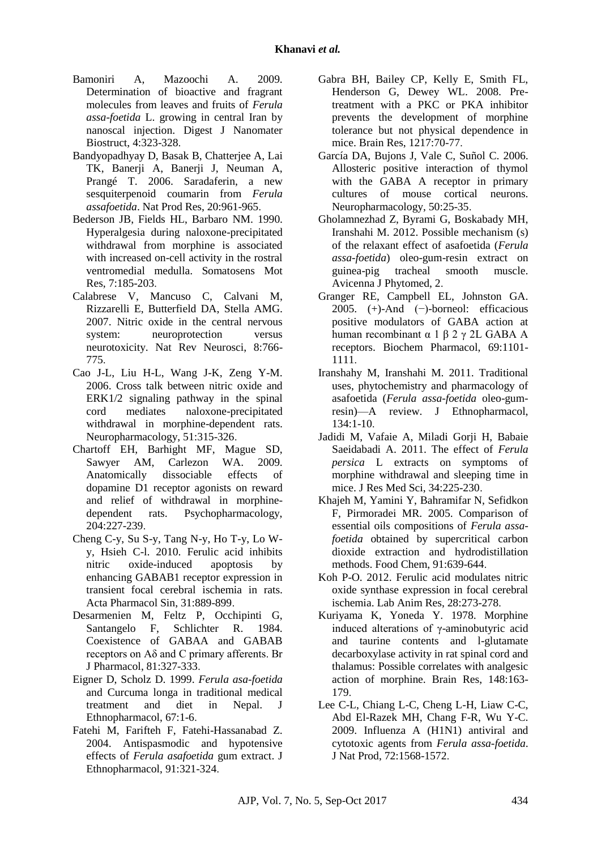- <span id="page-8-8"></span>Bamoniri A, Mazoochi A. 2009. Determination of bioactive and fragrant molecules from leaves and fruits of *Ferula assa-foetida* L. growing in central Iran by nanoscal injection. Digest J Nanomater Biostruct, 4:323-328.
- <span id="page-8-7"></span>Bandyopadhyay D, Basak B, Chatterjee A, Lai TK, Banerji A, Banerji J, Neuman A, Prangé T. 2006. Saradaferin, a new sesquiterpenoid coumarin from *Ferula assafoetida*. Nat Prod Res, 20:961-965.
- Bederson JB, Fields HL, Barbaro NM. 1990. Hyperalgesia during naloxone-precipitated withdrawal from morphine is associated with increased on-cell activity in the rostral ventromedial medulla. Somatosens Mot Res, 7:185-203.
- Calabrese V, Mancuso C, Calvani M, Rizzarelli E, Butterfield DA, Stella AMG. 2007. Nitric oxide in the central nervous system: neuroprotection versus neurotoxicity. Nat Rev Neurosci, 8:766- 775.
- Cao J-L, Liu H-L, Wang J-K, Zeng Y-M. 2006. Cross talk between nitric oxide and ERK1/2 signaling pathway in the spinal cord mediates naloxone-precipitated withdrawal in morphine-dependent rats. Neuropharmacology, 51:315-326.
- <span id="page-8-9"></span>Chartoff EH, Barhight MF, Mague SD, Sawyer AM, Carlezon WA. 2009. Anatomically dissociable effects of dopamine D1 receptor agonists on reward and relief of withdrawal in morphinedependent rats. Psychopharmacology, 204:227-239.
- <span id="page-8-11"></span>Cheng C-y, Su S-y, Tang N-y, Ho T-y, Lo Wy, Hsieh C-l. 2010. Ferulic acid inhibits nitric oxide-induced apoptosis by enhancing GABAB1 receptor expression in transient focal cerebral ischemia in rats. Acta Pharmacol Sin, 31:889-899.
- Desarmenien M, Feltz P, Occhipinti G, Santangelo F, Schlichter R. 1984. Coexistence of GABAA and GABAB receptors on Aδ and C primary afferents. Br J Pharmacol, 81:327-333.
- <span id="page-8-1"></span>Eigner D, Scholz D. 1999. *Ferula asa-foetida* and Curcuma longa in traditional medical treatment and diet in Nepal. J Ethnopharmacol, 67:1-6.
- <span id="page-8-2"></span>Fatehi M, Farifteh F, Fatehi-Hassanabad Z. 2004. Antispasmodic and hypotensive effects of *Ferula asafoetida* gum extract. J Ethnopharmacol, 91:321-324.
- <span id="page-8-10"></span>Gabra BH, Bailey CP, Kelly E, Smith FL, Henderson G, Dewey WL. 2008. Pretreatment with a PKC or PKA inhibitor prevents the development of morphine tolerance but not physical dependence in mice. Brain Res, 1217:70-77.
- García DA, Bujons J, Vale C, Suñol C. 2006. Allosteric positive interaction of thymol with the GABA A receptor in primary cultures of mouse cortical neurons. Neuropharmacology, 50:25-35.
- <span id="page-8-3"></span>Gholamnezhad Z, Byrami G, Boskabady MH, Iranshahi M. 2012. Possible mechanism (s) of the relaxant effect of asafoetida (*Ferula assa-foetida*) oleo-gum-resin extract on guinea-pig tracheal smooth muscle. Avicenna J Phytomed, 2.
- <span id="page-8-12"></span>Granger RE, Campbell EL, Johnston GA. 2005. (+)-And (−)-borneol: efficacious positive modulators of GABA action at human recombinant α 1 β 2 γ 2L GABA A receptors. Biochem Pharmacol, 69:1101- 1111.
- <span id="page-8-0"></span>Iranshahy M, Iranshahi M. 2011. Traditional uses, phytochemistry and pharmacology of asafoetida (*Ferula assa-foetida* oleo-gumresin)—A review. J Ethnopharmacol, 134:1-10.
- <span id="page-8-5"></span>Jadidi M, Vafaie A, Miladi Gorji H, Babaie Saeidabadi A. 2011. The effect of *Ferula persica* L extracts on symptoms of morphine withdrawal and sleeping time in mice. J Res Med Sci, 34:225-230.
- <span id="page-8-4"></span>Khajeh M, Yamini Y, Bahramifar N, Sefidkon F, Pirmoradei MR. 2005. Comparison of essential oils compositions of *Ferula assafoetida* obtained by supercritical carbon dioxide extraction and hydrodistillation methods. Food Chem, 91:639-644.
- Koh P-O. 2012. Ferulic acid modulates nitric oxide synthase expression in focal cerebral ischemia. Lab Anim Res, 28:273-278.
- Kuriyama K, Yoneda Y. 1978. Morphine induced alterations of γ-aminobutyric acid and taurine contents and l-glutamate decarboxylase activity in rat spinal cord and thalamus: Possible correlates with analgesic action of morphine. Brain Res, 148:163- 179.
- <span id="page-8-6"></span>Lee C-L, Chiang L-C, Cheng L-H, Liaw C-C, Abd El-Razek MH, Chang F-R, Wu Y-C. 2009. Influenza A (H1N1) antiviral and cytotoxic agents from *Ferula assa-foetida*. J Nat Prod, 72:1568-1572.